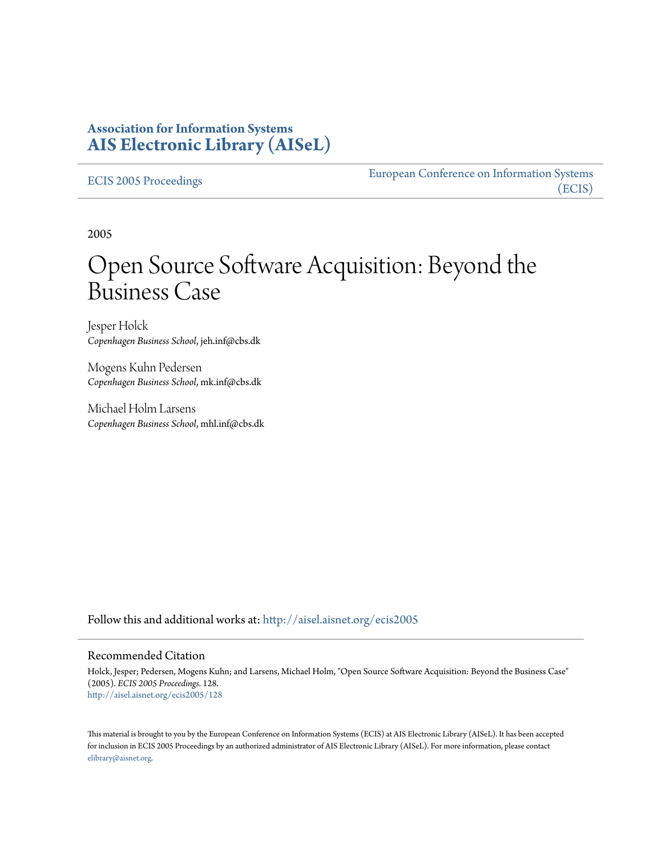### **Association for Information Systems [AIS Electronic Library \(AISeL\)](http://aisel.aisnet.org?utm_source=aisel.aisnet.org%2Fecis2005%2F128&utm_medium=PDF&utm_campaign=PDFCoverPages)**

[ECIS 2005 Proceedings](http://aisel.aisnet.org/ecis2005?utm_source=aisel.aisnet.org%2Fecis2005%2F128&utm_medium=PDF&utm_campaign=PDFCoverPages)

[European Conference on Information Systems](http://aisel.aisnet.org/ecis?utm_source=aisel.aisnet.org%2Fecis2005%2F128&utm_medium=PDF&utm_campaign=PDFCoverPages) [\(ECIS\)](http://aisel.aisnet.org/ecis?utm_source=aisel.aisnet.org%2Fecis2005%2F128&utm_medium=PDF&utm_campaign=PDFCoverPages)

2005

# Open Source Software Acquisition: Beyond the Business Case

Jesper Holck *Copenhagen Business School*, jeh.inf@cbs.dk

Mogens Kuhn Pedersen *Copenhagen Business School*, mk.inf@cbs.dk

Michael Holm Larsens *Copenhagen Business School*, mhl.inf@cbs.dk

Follow this and additional works at: [http://aisel.aisnet.org/ecis2005](http://aisel.aisnet.org/ecis2005?utm_source=aisel.aisnet.org%2Fecis2005%2F128&utm_medium=PDF&utm_campaign=PDFCoverPages)

#### Recommended Citation

Holck, Jesper; Pedersen, Mogens Kuhn; and Larsens, Michael Holm, "Open Source Software Acquisition: Beyond the Business Case" (2005). *ECIS 2005 Proceedings*. 128. [http://aisel.aisnet.org/ecis2005/128](http://aisel.aisnet.org/ecis2005/128?utm_source=aisel.aisnet.org%2Fecis2005%2F128&utm_medium=PDF&utm_campaign=PDFCoverPages)

This material is brought to you by the European Conference on Information Systems (ECIS) at AIS Electronic Library (AISeL). It has been accepted for inclusion in ECIS 2005 Proceedings by an authorized administrator of AIS Electronic Library (AISeL). For more information, please contact [elibrary@aisnet.org.](mailto:elibrary@aisnet.org%3E)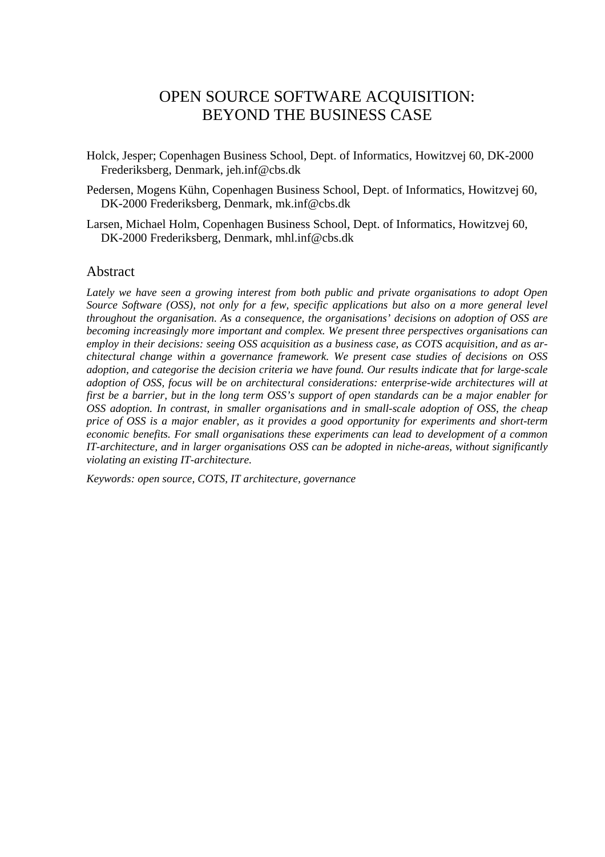# OPEN SOURCE SOFTWARE ACQUISITION: BEYOND THE BUSINESS CASE

- Holck, Jesper; Copenhagen Business School, Dept. of Informatics, Howitzvej 60, DK-2000 Frederiksberg, Denmark, jeh.inf@cbs.dk
- Pedersen, Mogens Kühn, Copenhagen Business School, Dept. of Informatics, Howitzvej 60, DK-2000 Frederiksberg, Denmark, mk.inf@cbs.dk
- Larsen, Michael Holm, Copenhagen Business School, Dept. of Informatics, Howitzvej 60, DK-2000 Frederiksberg, Denmark, mhl.inf@cbs.dk

#### Abstract

*Lately we have seen a growing interest from both public and private organisations to adopt Open Source Software (OSS), not only for a few, specific applications but also on a more general level throughout the organisation. As a consequence, the organisations' decisions on adoption of OSS are becoming increasingly more important and complex. We present three perspectives organisations can employ in their decisions: seeing OSS acquisition as a business case, as COTS acquisition, and as architectural change within a governance framework. We present case studies of decisions on OSS adoption, and categorise the decision criteria we have found. Our results indicate that for large-scale adoption of OSS, focus will be on architectural considerations: enterprise-wide architectures will at first be a barrier, but in the long term OSS's support of open standards can be a major enabler for OSS adoption. In contrast, in smaller organisations and in small-scale adoption of OSS, the cheap price of OSS is a major enabler, as it provides a good opportunity for experiments and short-term economic benefits. For small organisations these experiments can lead to development of a common IT-architecture, and in larger organisations OSS can be adopted in niche-areas, without significantly violating an existing IT-architecture.* 

*Keywords: open source, COTS, IT architecture, governance*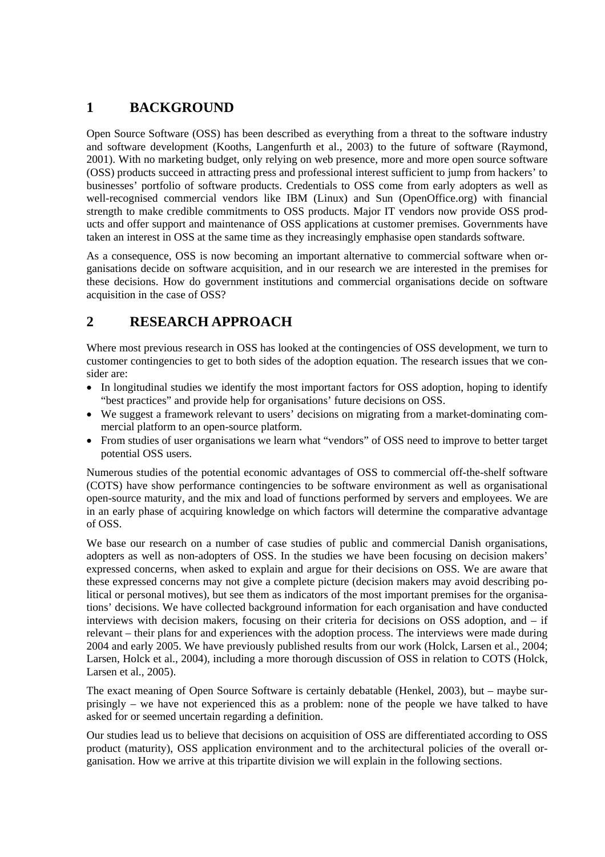# **1 BACKGROUND**

Open Source Software (OSS) has been described as everything from a threat to the software industry and software development (Kooths, Langenfurth et al., 2003) to the future of software (Raymond, 2001). With no marketing budget, only relying on web presence, more and more open source software (OSS) products succeed in attracting press and professional interest sufficient to jump from hackers' to businesses' portfolio of software products. Credentials to OSS come from early adopters as well as well-recognised commercial vendors like IBM (Linux) and Sun (OpenOffice.org) with financial strength to make credible commitments to OSS products. Major IT vendors now provide OSS products and offer support and maintenance of OSS applications at customer premises. Governments have taken an interest in OSS at the same time as they increasingly emphasise open standards software.

As a consequence, OSS is now becoming an important alternative to commercial software when organisations decide on software acquisition, and in our research we are interested in the premises for these decisions. How do government institutions and commercial organisations decide on software acquisition in the case of OSS?

# **2 RESEARCH APPROACH**

Where most previous research in OSS has looked at the contingencies of OSS development, we turn to customer contingencies to get to both sides of the adoption equation. The research issues that we consider are:

- In longitudinal studies we identify the most important factors for OSS adoption, hoping to identify "best practices" and provide help for organisations' future decisions on OSS.
- We suggest a framework relevant to users' decisions on migrating from a market-dominating commercial platform to an open-source platform.
- From studies of user organisations we learn what "vendors" of OSS need to improve to better target potential OSS users.

Numerous studies of the potential economic advantages of OSS to commercial off-the-shelf software (COTS) have show performance contingencies to be software environment as well as organisational open-source maturity, and the mix and load of functions performed by servers and employees. We are in an early phase of acquiring knowledge on which factors will determine the comparative advantage of OSS.

We base our research on a number of case studies of public and commercial Danish organisations, adopters as well as non-adopters of OSS. In the studies we have been focusing on decision makers' expressed concerns, when asked to explain and argue for their decisions on OSS. We are aware that these expressed concerns may not give a complete picture (decision makers may avoid describing political or personal motives), but see them as indicators of the most important premises for the organisations' decisions. We have collected background information for each organisation and have conducted interviews with decision makers, focusing on their criteria for decisions on OSS adoption, and – if relevant – their plans for and experiences with the adoption process. The interviews were made during 2004 and early 2005. We have previously published results from our work (Holck, Larsen et al., 2004; Larsen, Holck et al., 2004), including a more thorough discussion of OSS in relation to COTS (Holck, Larsen et al., 2005).

The exact meaning of Open Source Software is certainly debatable (Henkel, 2003), but – maybe surprisingly – we have not experienced this as a problem: none of the people we have talked to have asked for or seemed uncertain regarding a definition.

Our studies lead us to believe that decisions on acquisition of OSS are differentiated according to OSS product (maturity), OSS application environment and to the architectural policies of the overall organisation. How we arrive at this tripartite division we will explain in the following sections.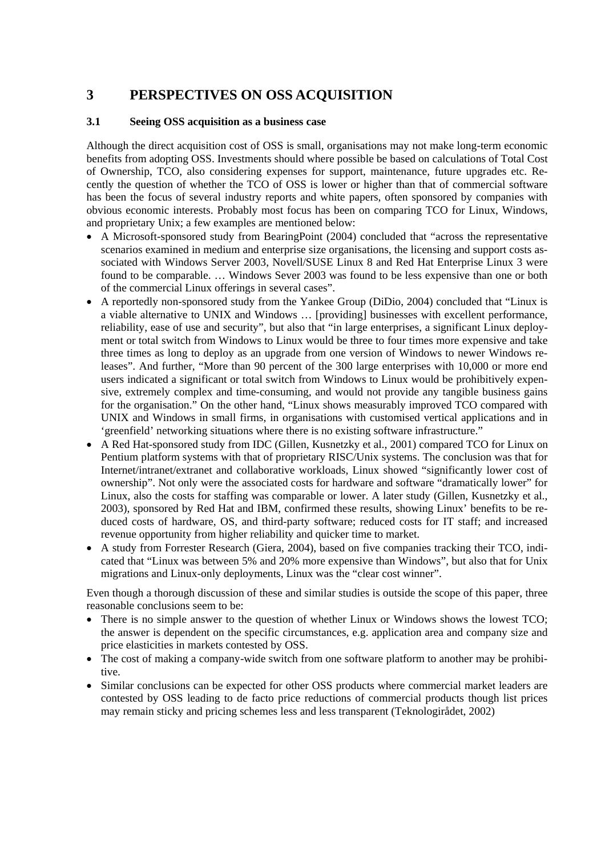# **3 PERSPECTIVES ON OSS ACQUISITION**

#### **3.1 Seeing OSS acquisition as a business case**

Although the direct acquisition cost of OSS is small, organisations may not make long-term economic benefits from adopting OSS. Investments should where possible be based on calculations of Total Cost of Ownership, TCO, also considering expenses for support, maintenance, future upgrades etc. Recently the question of whether the TCO of OSS is lower or higher than that of commercial software has been the focus of several industry reports and white papers, often sponsored by companies with obvious economic interests. Probably most focus has been on comparing TCO for Linux, Windows, and proprietary Unix; a few examples are mentioned below:

- A Microsoft-sponsored study from BearingPoint (2004) concluded that "across the representative scenarios examined in medium and enterprise size organisations, the licensing and support costs associated with Windows Server 2003, Novell/SUSE Linux 8 and Red Hat Enterprise Linux 3 were found to be comparable. … Windows Sever 2003 was found to be less expensive than one or both of the commercial Linux offerings in several cases".
- A reportedly non-sponsored study from the Yankee Group (DiDio, 2004) concluded that "Linux is a viable alternative to UNIX and Windows … [providing] businesses with excellent performance, reliability, ease of use and security", but also that "in large enterprises, a significant Linux deployment or total switch from Windows to Linux would be three to four times more expensive and take three times as long to deploy as an upgrade from one version of Windows to newer Windows releases". And further, "More than 90 percent of the 300 large enterprises with 10,000 or more end users indicated a significant or total switch from Windows to Linux would be prohibitively expensive, extremely complex and time-consuming, and would not provide any tangible business gains for the organisation." On the other hand, "Linux shows measurably improved TCO compared with UNIX and Windows in small firms, in organisations with customised vertical applications and in 'greenfield' networking situations where there is no existing software infrastructure."
- A Red Hat-sponsored study from IDC (Gillen, Kusnetzky et al., 2001) compared TCO for Linux on Pentium platform systems with that of proprietary RISC/Unix systems. The conclusion was that for Internet/intranet/extranet and collaborative workloads, Linux showed "significantly lower cost of ownership". Not only were the associated costs for hardware and software "dramatically lower" for Linux, also the costs for staffing was comparable or lower. A later study (Gillen, Kusnetzky et al., 2003), sponsored by Red Hat and IBM, confirmed these results, showing Linux' benefits to be reduced costs of hardware, OS, and third-party software; reduced costs for IT staff; and increased revenue opportunity from higher reliability and quicker time to market.
- A study from Forrester Research (Giera, 2004), based on five companies tracking their TCO, indicated that "Linux was between 5% and 20% more expensive than Windows", but also that for Unix migrations and Linux-only deployments, Linux was the "clear cost winner".

Even though a thorough discussion of these and similar studies is outside the scope of this paper, three reasonable conclusions seem to be:

- There is no simple answer to the question of whether Linux or Windows shows the lowest TCO; the answer is dependent on the specific circumstances, e.g. application area and company size and price elasticities in markets contested by OSS.
- The cost of making a company-wide switch from one software platform to another may be prohibitive.
- Similar conclusions can be expected for other OSS products where commercial market leaders are contested by OSS leading to de facto price reductions of commercial products though list prices may remain sticky and pricing schemes less and less transparent (Teknologirådet, 2002)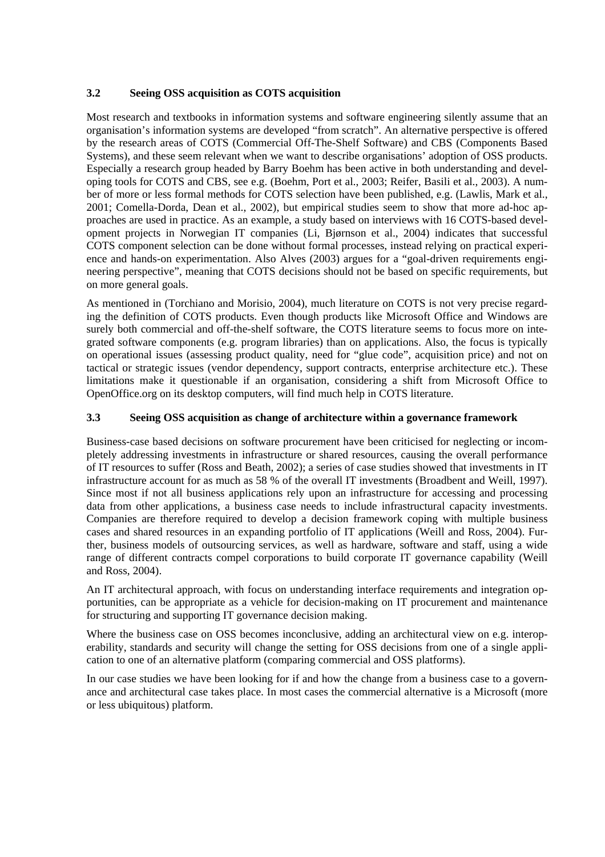#### **3.2 Seeing OSS acquisition as COTS acquisition**

Most research and textbooks in information systems and software engineering silently assume that an organisation's information systems are developed "from scratch". An alternative perspective is offered by the research areas of COTS (Commercial Off-The-Shelf Software) and CBS (Components Based Systems), and these seem relevant when we want to describe organisations' adoption of OSS products. Especially a research group headed by Barry Boehm has been active in both understanding and developing tools for COTS and CBS, see e.g. (Boehm, Port et al., 2003; Reifer, Basili et al., 2003). A number of more or less formal methods for COTS selection have been published, e.g. (Lawlis, Mark et al., 2001; Comella-Dorda, Dean et al., 2002), but empirical studies seem to show that more ad-hoc approaches are used in practice. As an example, a study based on interviews with 16 COTS-based development projects in Norwegian IT companies (Li, Bjørnson et al., 2004) indicates that successful COTS component selection can be done without formal processes, instead relying on practical experience and hands-on experimentation. Also Alves (2003) argues for a "goal-driven requirements engineering perspective", meaning that COTS decisions should not be based on specific requirements, but on more general goals.

As mentioned in (Torchiano and Morisio, 2004), much literature on COTS is not very precise regarding the definition of COTS products. Even though products like Microsoft Office and Windows are surely both commercial and off-the-shelf software, the COTS literature seems to focus more on integrated software components (e.g. program libraries) than on applications. Also, the focus is typically on operational issues (assessing product quality, need for "glue code", acquisition price) and not on tactical or strategic issues (vendor dependency, support contracts, enterprise architecture etc.). These limitations make it questionable if an organisation, considering a shift from Microsoft Office to OpenOffice.org on its desktop computers, will find much help in COTS literature.

#### **3.3 Seeing OSS acquisition as change of architecture within a governance framework**

Business-case based decisions on software procurement have been criticised for neglecting or incompletely addressing investments in infrastructure or shared resources, causing the overall performance of IT resources to suffer (Ross and Beath, 2002); a series of case studies showed that investments in IT infrastructure account for as much as 58 % of the overall IT investments (Broadbent and Weill, 1997). Since most if not all business applications rely upon an infrastructure for accessing and processing data from other applications, a business case needs to include infrastructural capacity investments. Companies are therefore required to develop a decision framework coping with multiple business cases and shared resources in an expanding portfolio of IT applications (Weill and Ross, 2004). Further, business models of outsourcing services, as well as hardware, software and staff, using a wide range of different contracts compel corporations to build corporate IT governance capability (Weill and Ross, 2004).

An IT architectural approach, with focus on understanding interface requirements and integration opportunities, can be appropriate as a vehicle for decision-making on IT procurement and maintenance for structuring and supporting IT governance decision making.

Where the business case on OSS becomes inconclusive, adding an architectural view on e.g. interoperability, standards and security will change the setting for OSS decisions from one of a single application to one of an alternative platform (comparing commercial and OSS platforms).

In our case studies we have been looking for if and how the change from a business case to a governance and architectural case takes place. In most cases the commercial alternative is a Microsoft (more or less ubiquitous) platform.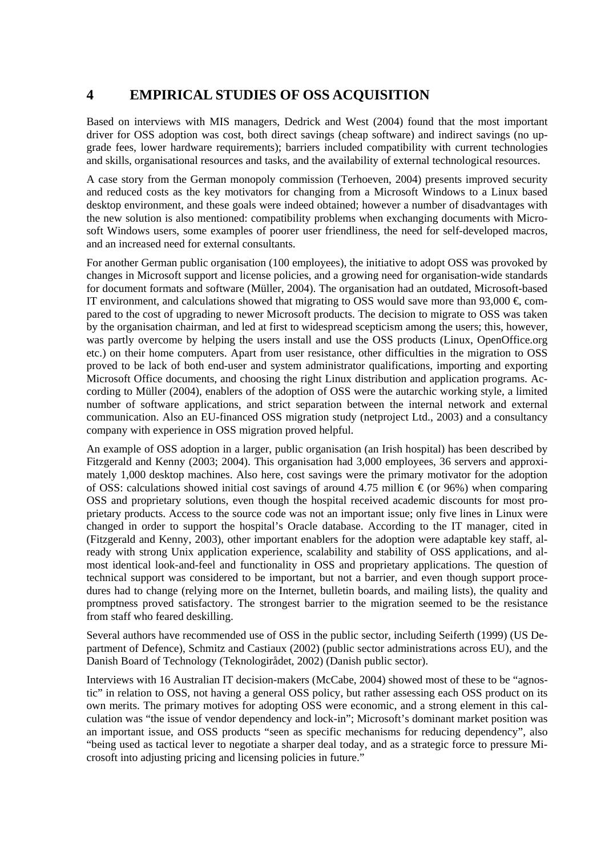# **4 EMPIRICAL STUDIES OF OSS ACQUISITION**

Based on interviews with MIS managers, Dedrick and West (2004) found that the most important driver for OSS adoption was cost, both direct savings (cheap software) and indirect savings (no upgrade fees, lower hardware requirements); barriers included compatibility with current technologies and skills, organisational resources and tasks, and the availability of external technological resources.

A case story from the German monopoly commission (Terhoeven, 2004) presents improved security and reduced costs as the key motivators for changing from a Microsoft Windows to a Linux based desktop environment, and these goals were indeed obtained; however a number of disadvantages with the new solution is also mentioned: compatibility problems when exchanging documents with Microsoft Windows users, some examples of poorer user friendliness, the need for self-developed macros, and an increased need for external consultants.

For another German public organisation (100 employees), the initiative to adopt OSS was provoked by changes in Microsoft support and license policies, and a growing need for organisation-wide standards for document formats and software (Müller, 2004). The organisation had an outdated, Microsoft-based IT environment, and calculations showed that migrating to OSS would save more than 93,000  $\epsilon$  compared to the cost of upgrading to newer Microsoft products. The decision to migrate to OSS was taken by the organisation chairman, and led at first to widespread scepticism among the users; this, however, was partly overcome by helping the users install and use the OSS products (Linux, OpenOffice.org etc.) on their home computers. Apart from user resistance, other difficulties in the migration to OSS proved to be lack of both end-user and system administrator qualifications, importing and exporting Microsoft Office documents, and choosing the right Linux distribution and application programs. According to Müller (2004), enablers of the adoption of OSS were the autarchic working style, a limited number of software applications, and strict separation between the internal network and external communication. Also an EU-financed OSS migration study (netproject Ltd., 2003) and a consultancy company with experience in OSS migration proved helpful.

An example of OSS adoption in a larger, public organisation (an Irish hospital) has been described by Fitzgerald and Kenny (2003; 2004). This organisation had 3,000 employees, 36 servers and approximately 1,000 desktop machines. Also here, cost savings were the primary motivator for the adoption of OSS: calculations showed initial cost savings of around 4.75 million  $\epsilon$  (or 96%) when comparing OSS and proprietary solutions, even though the hospital received academic discounts for most proprietary products. Access to the source code was not an important issue; only five lines in Linux were changed in order to support the hospital's Oracle database. According to the IT manager, cited in (Fitzgerald and Kenny, 2003), other important enablers for the adoption were adaptable key staff, already with strong Unix application experience, scalability and stability of OSS applications, and almost identical look-and-feel and functionality in OSS and proprietary applications. The question of technical support was considered to be important, but not a barrier, and even though support procedures had to change (relying more on the Internet, bulletin boards, and mailing lists), the quality and promptness proved satisfactory. The strongest barrier to the migration seemed to be the resistance from staff who feared deskilling.

Several authors have recommended use of OSS in the public sector, including Seiferth (1999) (US Department of Defence), Schmitz and Castiaux (2002) (public sector administrations across EU), and the Danish Board of Technology (Teknologirådet, 2002) (Danish public sector).

Interviews with 16 Australian IT decision-makers (McCabe, 2004) showed most of these to be "agnostic" in relation to OSS, not having a general OSS policy, but rather assessing each OSS product on its own merits. The primary motives for adopting OSS were economic, and a strong element in this calculation was "the issue of vendor dependency and lock-in"; Microsoft's dominant market position was an important issue, and OSS products "seen as specific mechanisms for reducing dependency", also "being used as tactical lever to negotiate a sharper deal today, and as a strategic force to pressure Microsoft into adjusting pricing and licensing policies in future."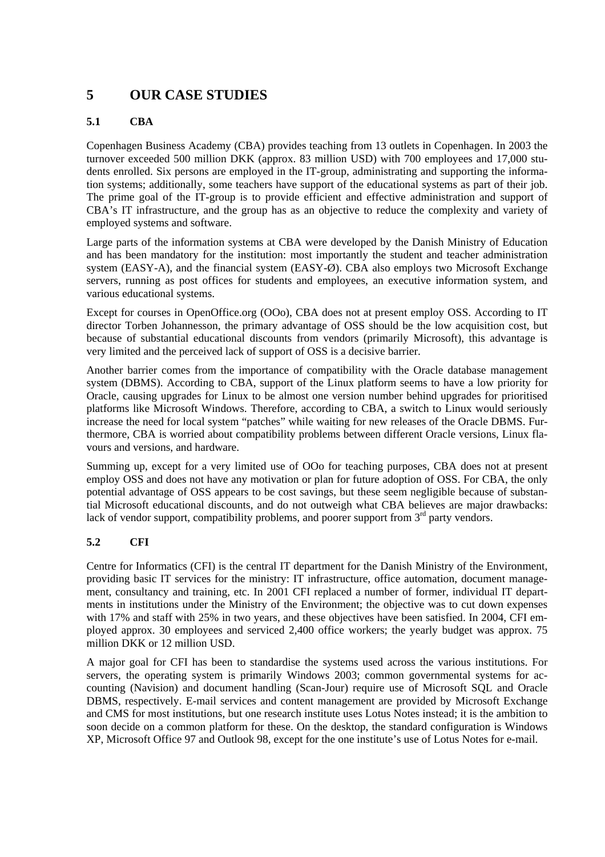## **5 OUR CASE STUDIES**

#### **5.1 CBA**

Copenhagen Business Academy (CBA) provides teaching from 13 outlets in Copenhagen. In 2003 the turnover exceeded 500 million DKK (approx. 83 million USD) with 700 employees and 17,000 students enrolled. Six persons are employed in the IT-group, administrating and supporting the information systems; additionally, some teachers have support of the educational systems as part of their job. The prime goal of the IT-group is to provide efficient and effective administration and support of CBA's IT infrastructure, and the group has as an objective to reduce the complexity and variety of employed systems and software.

Large parts of the information systems at CBA were developed by the Danish Ministry of Education and has been mandatory for the institution: most importantly the student and teacher administration system (EASY-A), and the financial system (EASY-Ø). CBA also employs two Microsoft Exchange servers, running as post offices for students and employees, an executive information system, and various educational systems.

Except for courses in OpenOffice.org (OOo), CBA does not at present employ OSS. According to IT director Torben Johannesson, the primary advantage of OSS should be the low acquisition cost, but because of substantial educational discounts from vendors (primarily Microsoft), this advantage is very limited and the perceived lack of support of OSS is a decisive barrier.

Another barrier comes from the importance of compatibility with the Oracle database management system (DBMS). According to CBA, support of the Linux platform seems to have a low priority for Oracle, causing upgrades for Linux to be almost one version number behind upgrades for prioritised platforms like Microsoft Windows. Therefore, according to CBA, a switch to Linux would seriously increase the need for local system "patches" while waiting for new releases of the Oracle DBMS. Furthermore, CBA is worried about compatibility problems between different Oracle versions, Linux flavours and versions, and hardware.

Summing up, except for a very limited use of OOo for teaching purposes, CBA does not at present employ OSS and does not have any motivation or plan for future adoption of OSS. For CBA, the only potential advantage of OSS appears to be cost savings, but these seem negligible because of substantial Microsoft educational discounts, and do not outweigh what CBA believes are major drawbacks: lack of vendor support, compatibility problems, and poorer support from  $3<sup>rd</sup>$  party vendors.

#### **5.2 CFI**

Centre for Informatics (CFI) is the central IT department for the Danish Ministry of the Environment, providing basic IT services for the ministry: IT infrastructure, office automation, document management, consultancy and training, etc. In 2001 CFI replaced a number of former, individual IT departments in institutions under the Ministry of the Environment; the objective was to cut down expenses with 17% and staff with 25% in two years, and these objectives have been satisfied. In 2004, CFI employed approx. 30 employees and serviced 2,400 office workers; the yearly budget was approx. 75 million DKK or 12 million USD.

A major goal for CFI has been to standardise the systems used across the various institutions. For servers, the operating system is primarily Windows 2003; common governmental systems for accounting (Navision) and document handling (Scan-Jour) require use of Microsoft SQL and Oracle DBMS, respectively. E-mail services and content management are provided by Microsoft Exchange and CMS for most institutions, but one research institute uses Lotus Notes instead; it is the ambition to soon decide on a common platform for these. On the desktop, the standard configuration is Windows XP, Microsoft Office 97 and Outlook 98, except for the one institute's use of Lotus Notes for e-mail.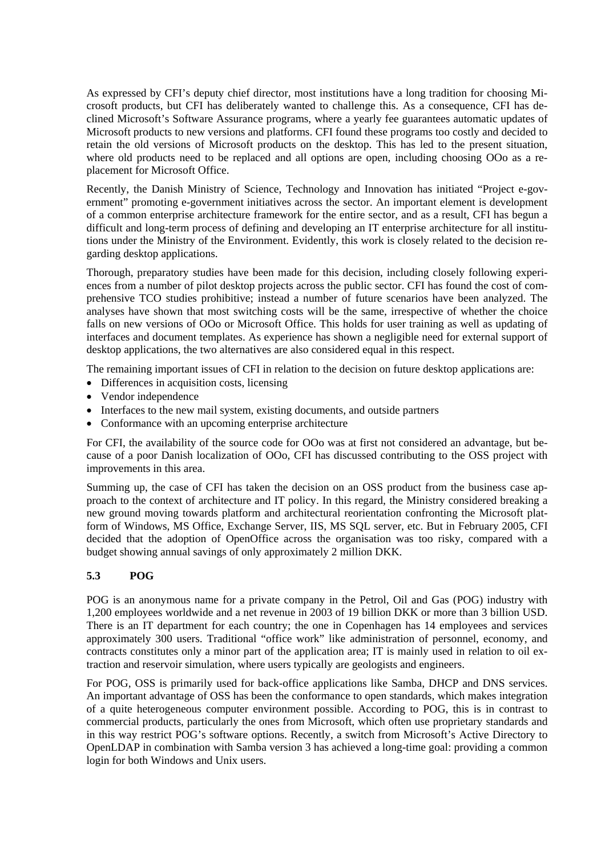As expressed by CFI's deputy chief director, most institutions have a long tradition for choosing Microsoft products, but CFI has deliberately wanted to challenge this. As a consequence, CFI has declined Microsoft's Software Assurance programs, where a yearly fee guarantees automatic updates of Microsoft products to new versions and platforms. CFI found these programs too costly and decided to retain the old versions of Microsoft products on the desktop. This has led to the present situation, where old products need to be replaced and all options are open, including choosing OOo as a replacement for Microsoft Office.

Recently, the Danish Ministry of Science, Technology and Innovation has initiated "Project e-government" promoting e-government initiatives across the sector. An important element is development of a common enterprise architecture framework for the entire sector, and as a result, CFI has begun a difficult and long-term process of defining and developing an IT enterprise architecture for all institutions under the Ministry of the Environment. Evidently, this work is closely related to the decision regarding desktop applications.

Thorough, preparatory studies have been made for this decision, including closely following experiences from a number of pilot desktop projects across the public sector. CFI has found the cost of comprehensive TCO studies prohibitive; instead a number of future scenarios have been analyzed. The analyses have shown that most switching costs will be the same, irrespective of whether the choice falls on new versions of OOo or Microsoft Office. This holds for user training as well as updating of interfaces and document templates. As experience has shown a negligible need for external support of desktop applications, the two alternatives are also considered equal in this respect.

The remaining important issues of CFI in relation to the decision on future desktop applications are:

- Differences in acquisition costs, licensing
- Vendor independence
- Interfaces to the new mail system, existing documents, and outside partners
- Conformance with an upcoming enterprise architecture

For CFI, the availability of the source code for OOo was at first not considered an advantage, but because of a poor Danish localization of OOo, CFI has discussed contributing to the OSS project with improvements in this area.

Summing up, the case of CFI has taken the decision on an OSS product from the business case approach to the context of architecture and IT policy. In this regard, the Ministry considered breaking a new ground moving towards platform and architectural reorientation confronting the Microsoft platform of Windows, MS Office, Exchange Server, IIS, MS SQL server, etc. But in February 2005, CFI decided that the adoption of OpenOffice across the organisation was too risky, compared with a budget showing annual savings of only approximately 2 million DKK.

#### **5.3 POG**

POG is an anonymous name for a private company in the Petrol, Oil and Gas (POG) industry with 1,200 employees worldwide and a net revenue in 2003 of 19 billion DKK or more than 3 billion USD. There is an IT department for each country; the one in Copenhagen has 14 employees and services approximately 300 users. Traditional "office work" like administration of personnel, economy, and contracts constitutes only a minor part of the application area; IT is mainly used in relation to oil extraction and reservoir simulation, where users typically are geologists and engineers.

For POG, OSS is primarily used for back-office applications like Samba, DHCP and DNS services. An important advantage of OSS has been the conformance to open standards, which makes integration of a quite heterogeneous computer environment possible. According to POG, this is in contrast to commercial products, particularly the ones from Microsoft, which often use proprietary standards and in this way restrict POG's software options. Recently, a switch from Microsoft's Active Directory to OpenLDAP in combination with Samba version 3 has achieved a long-time goal: providing a common login for both Windows and Unix users.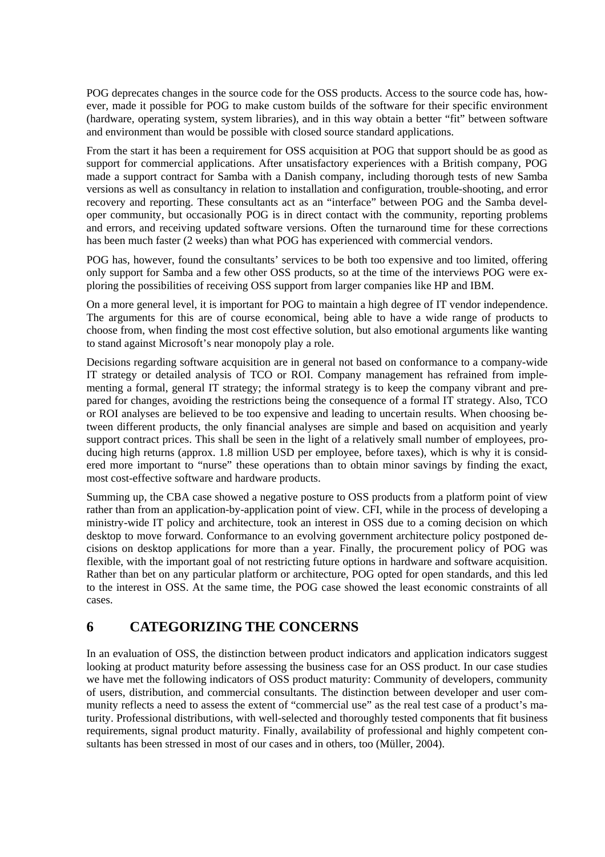POG deprecates changes in the source code for the OSS products. Access to the source code has, however, made it possible for POG to make custom builds of the software for their specific environment (hardware, operating system, system libraries), and in this way obtain a better "fit" between software and environment than would be possible with closed source standard applications.

From the start it has been a requirement for OSS acquisition at POG that support should be as good as support for commercial applications. After unsatisfactory experiences with a British company, POG made a support contract for Samba with a Danish company, including thorough tests of new Samba versions as well as consultancy in relation to installation and configuration, trouble-shooting, and error recovery and reporting. These consultants act as an "interface" between POG and the Samba developer community, but occasionally POG is in direct contact with the community, reporting problems and errors, and receiving updated software versions. Often the turnaround time for these corrections has been much faster (2 weeks) than what POG has experienced with commercial vendors.

POG has, however, found the consultants' services to be both too expensive and too limited, offering only support for Samba and a few other OSS products, so at the time of the interviews POG were exploring the possibilities of receiving OSS support from larger companies like HP and IBM.

On a more general level, it is important for POG to maintain a high degree of IT vendor independence. The arguments for this are of course economical, being able to have a wide range of products to choose from, when finding the most cost effective solution, but also emotional arguments like wanting to stand against Microsoft's near monopoly play a role.

Decisions regarding software acquisition are in general not based on conformance to a company-wide IT strategy or detailed analysis of TCO or ROI. Company management has refrained from implementing a formal, general IT strategy; the informal strategy is to keep the company vibrant and prepared for changes, avoiding the restrictions being the consequence of a formal IT strategy. Also, TCO or ROI analyses are believed to be too expensive and leading to uncertain results. When choosing between different products, the only financial analyses are simple and based on acquisition and yearly support contract prices. This shall be seen in the light of a relatively small number of employees, producing high returns (approx. 1.8 million USD per employee, before taxes), which is why it is considered more important to "nurse" these operations than to obtain minor savings by finding the exact, most cost-effective software and hardware products.

Summing up, the CBA case showed a negative posture to OSS products from a platform point of view rather than from an application-by-application point of view. CFI, while in the process of developing a ministry-wide IT policy and architecture, took an interest in OSS due to a coming decision on which desktop to move forward. Conformance to an evolving government architecture policy postponed decisions on desktop applications for more than a year. Finally, the procurement policy of POG was flexible, with the important goal of not restricting future options in hardware and software acquisition. Rather than bet on any particular platform or architecture, POG opted for open standards, and this led to the interest in OSS. At the same time, the POG case showed the least economic constraints of all cases.

### **6 CATEGORIZING THE CONCERNS**

In an evaluation of OSS, the distinction between product indicators and application indicators suggest looking at product maturity before assessing the business case for an OSS product. In our case studies we have met the following indicators of OSS product maturity: Community of developers, community of users, distribution, and commercial consultants. The distinction between developer and user community reflects a need to assess the extent of "commercial use" as the real test case of a product's maturity. Professional distributions, with well-selected and thoroughly tested components that fit business requirements, signal product maturity. Finally, availability of professional and highly competent consultants has been stressed in most of our cases and in others, too (Müller, 2004).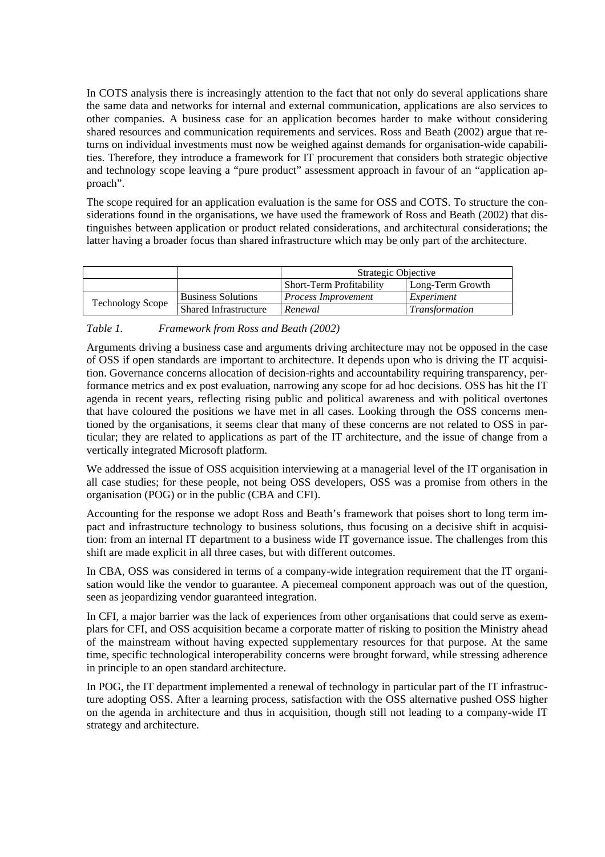In COTS analysis there is increasingly attention to the fact that not only do several applications share the same data and networks for internal and external communication, applications are also services to other companies. A business case for an application becomes harder to make without considering shared resources and communication requirements and services. Ross and Beath (2002) argue that returns on individual investments must now be weighed against demands for organisation-wide capabilities. Therefore, they introduce a framework for IT procurement that considers both strategic objective and technology scope leaving a "pure product" assessment approach in favour of an "application approach".

The scope required for an application evaluation is the same for OSS and COTS. To structure the considerations found in the organisations, we have used the framework of Ross and Beath (2002) that distinguishes between application or product related considerations, and architectural considerations; the latter having a broader focus than shared infrastructure which may be only part of the architecture.

|                         |                              | Strategic Objective             |                       |
|-------------------------|------------------------------|---------------------------------|-----------------------|
|                         |                              | <b>Short-Term Profitability</b> | Long-Term Growth      |
| <b>Technology Scope</b> | <b>Business Solutions</b>    | Process Improvement             | Experiment            |
|                         | <b>Shared Infrastructure</b> | Renewal                         | <i>Transformation</i> |

*Table 1. Framework from Ross and Beath (2002)* 

Arguments driving a business case and arguments driving architecture may not be opposed in the case of OSS if open standards are important to architecture. It depends upon who is driving the IT acquisition. Governance concerns allocation of decision-rights and accountability requiring transparency, performance metrics and ex post evaluation, narrowing any scope for ad hoc decisions. OSS has hit the IT agenda in recent years, reflecting rising public and political awareness and with political overtones that have coloured the positions we have met in all cases. Looking through the OSS concerns mentioned by the organisations, it seems clear that many of these concerns are not related to OSS in particular; they are related to applications as part of the IT architecture, and the issue of change from a vertically integrated Microsoft platform.

We addressed the issue of OSS acquisition interviewing at a managerial level of the IT organisation in all case studies; for these people, not being OSS developers, OSS was a promise from others in the organisation (POG) or in the public (CBA and CFI).

Accounting for the response we adopt Ross and Beath's framework that poises short to long term impact and infrastructure technology to business solutions, thus focusing on a decisive shift in acquisition: from an internal IT department to a business wide IT governance issue. The challenges from this shift are made explicit in all three cases, but with different outcomes.

In CBA, OSS was considered in terms of a company-wide integration requirement that the IT organisation would like the vendor to guarantee. A piecemeal component approach was out of the question, seen as jeopardizing vendor guaranteed integration.

In CFI, a major barrier was the lack of experiences from other organisations that could serve as exemplars for CFI, and OSS acquisition became a corporate matter of risking to position the Ministry ahead of the mainstream without having expected supplementary resources for that purpose. At the same time, specific technological interoperability concerns were brought forward, while stressing adherence in principle to an open standard architecture.

In POG, the IT department implemented a renewal of technology in particular part of the IT infrastructure adopting OSS. After a learning process, satisfaction with the OSS alternative pushed OSS higher on the agenda in architecture and thus in acquisition, though still not leading to a company-wide IT strategy and architecture.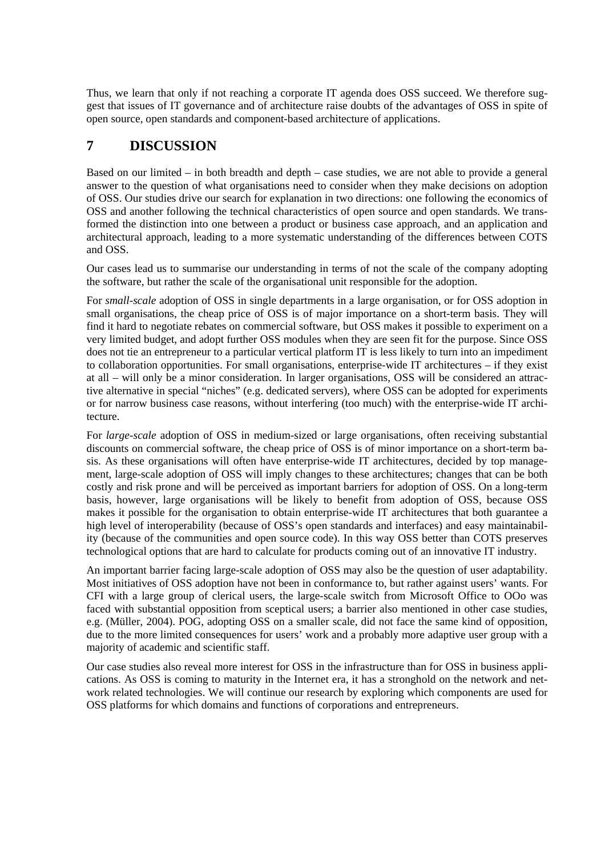Thus, we learn that only if not reaching a corporate IT agenda does OSS succeed. We therefore suggest that issues of IT governance and of architecture raise doubts of the advantages of OSS in spite of open source, open standards and component-based architecture of applications.

# **7 DISCUSSION**

Based on our limited – in both breadth and depth – case studies, we are not able to provide a general answer to the question of what organisations need to consider when they make decisions on adoption of OSS. Our studies drive our search for explanation in two directions: one following the economics of OSS and another following the technical characteristics of open source and open standards. We transformed the distinction into one between a product or business case approach, and an application and architectural approach, leading to a more systematic understanding of the differences between COTS and OSS.

Our cases lead us to summarise our understanding in terms of not the scale of the company adopting the software, but rather the scale of the organisational unit responsible for the adoption.

For *small-scale* adoption of OSS in single departments in a large organisation, or for OSS adoption in small organisations, the cheap price of OSS is of major importance on a short-term basis. They will find it hard to negotiate rebates on commercial software, but OSS makes it possible to experiment on a very limited budget, and adopt further OSS modules when they are seen fit for the purpose. Since OSS does not tie an entrepreneur to a particular vertical platform IT is less likely to turn into an impediment to collaboration opportunities. For small organisations, enterprise-wide IT architectures – if they exist at all – will only be a minor consideration. In larger organisations, OSS will be considered an attractive alternative in special "niches" (e.g. dedicated servers), where OSS can be adopted for experiments or for narrow business case reasons, without interfering (too much) with the enterprise-wide IT architecture.

For *large-scale* adoption of OSS in medium-sized or large organisations, often receiving substantial discounts on commercial software, the cheap price of OSS is of minor importance on a short-term basis. As these organisations will often have enterprise-wide IT architectures, decided by top management, large-scale adoption of OSS will imply changes to these architectures; changes that can be both costly and risk prone and will be perceived as important barriers for adoption of OSS. On a long-term basis, however, large organisations will be likely to benefit from adoption of OSS, because OSS makes it possible for the organisation to obtain enterprise-wide IT architectures that both guarantee a high level of interoperability (because of OSS's open standards and interfaces) and easy maintainability (because of the communities and open source code). In this way OSS better than COTS preserves technological options that are hard to calculate for products coming out of an innovative IT industry.

An important barrier facing large-scale adoption of OSS may also be the question of user adaptability. Most initiatives of OSS adoption have not been in conformance to, but rather against users' wants. For CFI with a large group of clerical users, the large-scale switch from Microsoft Office to OOo was faced with substantial opposition from sceptical users; a barrier also mentioned in other case studies, e.g. (Müller, 2004). POG, adopting OSS on a smaller scale, did not face the same kind of opposition, due to the more limited consequences for users' work and a probably more adaptive user group with a majority of academic and scientific staff.

Our case studies also reveal more interest for OSS in the infrastructure than for OSS in business applications. As OSS is coming to maturity in the Internet era, it has a stronghold on the network and network related technologies. We will continue our research by exploring which components are used for OSS platforms for which domains and functions of corporations and entrepreneurs.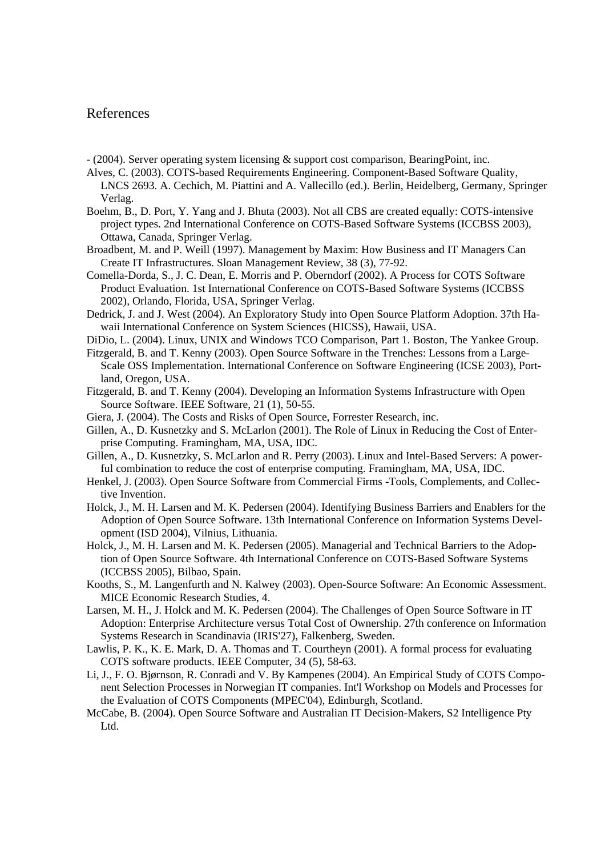#### References

- (2004). Server operating system licensing & support cost comparison, BearingPoint, inc.
- Alves, C. (2003). COTS-based Requirements Engineering. Component-Based Software Quality, LNCS 2693. A. Cechich, M. Piattini and A. Vallecillo (ed.). Berlin, Heidelberg, Germany, Springer Verlag.
- Boehm, B., D. Port, Y. Yang and J. Bhuta (2003). Not all CBS are created equally: COTS-intensive project types. 2nd International Conference on COTS-Based Software Systems (ICCBSS 2003), Ottawa, Canada, Springer Verlag.
- Broadbent, M. and P. Weill (1997). Management by Maxim: How Business and IT Managers Can Create IT Infrastructures. Sloan Management Review, 38 (3), 77-92.
- Comella-Dorda, S., J. C. Dean, E. Morris and P. Oberndorf (2002). A Process for COTS Software Product Evaluation. 1st International Conference on COTS-Based Software Systems (ICCBSS 2002), Orlando, Florida, USA, Springer Verlag.
- Dedrick, J. and J. West (2004). An Exploratory Study into Open Source Platform Adoption. 37th Hawaii International Conference on System Sciences (HICSS), Hawaii, USA.
- DiDio, L. (2004). Linux, UNIX and Windows TCO Comparison, Part 1. Boston, The Yankee Group.
- Fitzgerald, B. and T. Kenny (2003). Open Source Software in the Trenches: Lessons from a Large-Scale OSS Implementation. International Conference on Software Engineering (ICSE 2003), Portland, Oregon, USA.
- Fitzgerald, B. and T. Kenny (2004). Developing an Information Systems Infrastructure with Open Source Software. IEEE Software, 21 (1), 50-55.
- Giera, J. (2004). The Costs and Risks of Open Source, Forrester Research, inc.
- Gillen, A., D. Kusnetzky and S. McLarlon (2001). The Role of Linux in Reducing the Cost of Enterprise Computing. Framingham, MA, USA, IDC.
- Gillen, A., D. Kusnetzky, S. McLarlon and R. Perry (2003). Linux and Intel-Based Servers: A powerful combination to reduce the cost of enterprise computing. Framingham, MA, USA, IDC.
- Henkel, J. (2003). Open Source Software from Commercial Firms -Tools, Complements, and Collective Invention.
- Holck, J., M. H. Larsen and M. K. Pedersen (2004). Identifying Business Barriers and Enablers for the Adoption of Open Source Software. 13th International Conference on Information Systems Development (ISD 2004), Vilnius, Lithuania.
- Holck, J., M. H. Larsen and M. K. Pedersen (2005). Managerial and Technical Barriers to the Adoption of Open Source Software. 4th International Conference on COTS-Based Software Systems (ICCBSS 2005), Bilbao, Spain.
- Kooths, S., M. Langenfurth and N. Kalwey (2003). Open-Source Software: An Economic Assessment. MICE Economic Research Studies, 4.
- Larsen, M. H., J. Holck and M. K. Pedersen (2004). The Challenges of Open Source Software in IT Adoption: Enterprise Architecture versus Total Cost of Ownership. 27th conference on Information Systems Research in Scandinavia (IRIS'27), Falkenberg, Sweden.
- Lawlis, P. K., K. E. Mark, D. A. Thomas and T. Courtheyn (2001). A formal process for evaluating COTS software products. IEEE Computer, 34 (5), 58-63.
- Li, J., F. O. Bjørnson, R. Conradi and V. By Kampenes (2004). An Empirical Study of COTS Component Selection Processes in Norwegian IT companies. Int'l Workshop on Models and Processes for the Evaluation of COTS Components (MPEC'04), Edinburgh, Scotland.
- McCabe, B. (2004). Open Source Software and Australian IT Decision-Makers, S2 Intelligence Pty Ltd.